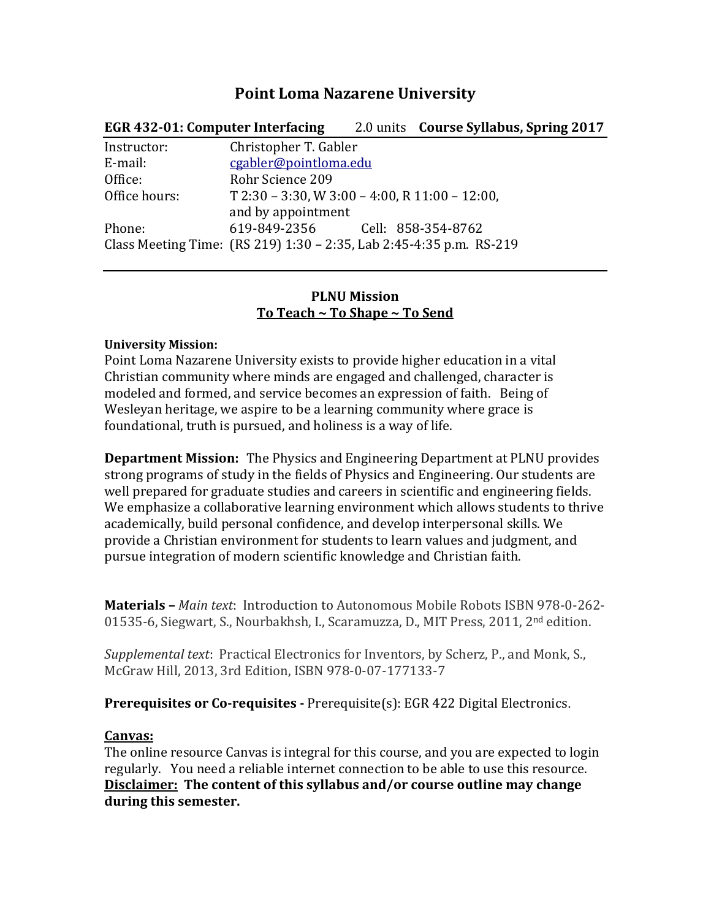# **Point Loma Nazarene University**

| EGR 432-01: Computer Interfacing |                                                                     |  | 2.0 units <b>Course Syllabus, Spring 2017</b> |  |
|----------------------------------|---------------------------------------------------------------------|--|-----------------------------------------------|--|
| Instructor:                      | Christopher T. Gabler                                               |  |                                               |  |
| E-mail:                          | cgabler@pointloma.edu                                               |  |                                               |  |
| Office:                          | Rohr Science 209                                                    |  |                                               |  |
| Office hours:                    | $T$ 2:30 - 3:30, W 3:00 - 4:00, R 11:00 - 12:00,                    |  |                                               |  |
|                                  | and by appointment                                                  |  |                                               |  |
| Phone:                           | 619-849-2356 Cell: 858-354-8762                                     |  |                                               |  |
|                                  | Class Meeting Time: (RS 219) 1:30 - 2:35, Lab 2:45-4:35 p.m. RS-219 |  |                                               |  |
|                                  |                                                                     |  |                                               |  |

### **PLNU Mission To Teach ~ To Shape ~ To Send**

#### **University Mission:**

Point Loma Nazarene University exists to provide higher education in a vital Christian community where minds are engaged and challenged, character is modeled and formed, and service becomes an expression of faith. Being of Wesleyan heritage, we aspire to be a learning community where grace is foundational, truth is pursued, and holiness is a way of life.

**Department Mission:** The Physics and Engineering Department at PLNU provides strong programs of study in the fields of Physics and Engineering. Our students are well prepared for graduate studies and careers in scientific and engineering fields. We emphasize a collaborative learning environment which allows students to thrive academically, build personal confidence, and develop interpersonal skills. We provide a Christian environment for students to learn values and judgment, and pursue integration of modern scientific knowledge and Christian faith.

**Materials –** *Main text*: Introduction to Autonomous Mobile Robots ISBN 978-0-262- 01535-6, Siegwart, S., Nourbakhsh, I., Scaramuzza, D., MIT Press, 2011, 2nd edition.

*Supplemental text*: Practical Electronics for Inventors, by Scherz, P., and Monk, S., McGraw Hill, 2013, 3rd Edition, ISBN 978-0-07-177133-7

**Prerequisites or Co-requisites -** Prerequisite(s): EGR 422 Digital Electronics.

### **Canvas:**

The online resource Canvas is integral for this course, and you are expected to login regularly. You need a reliable internet connection to be able to use this resource. **Disclaimer: The content of this syllabus and/or course outline may change during this semester.**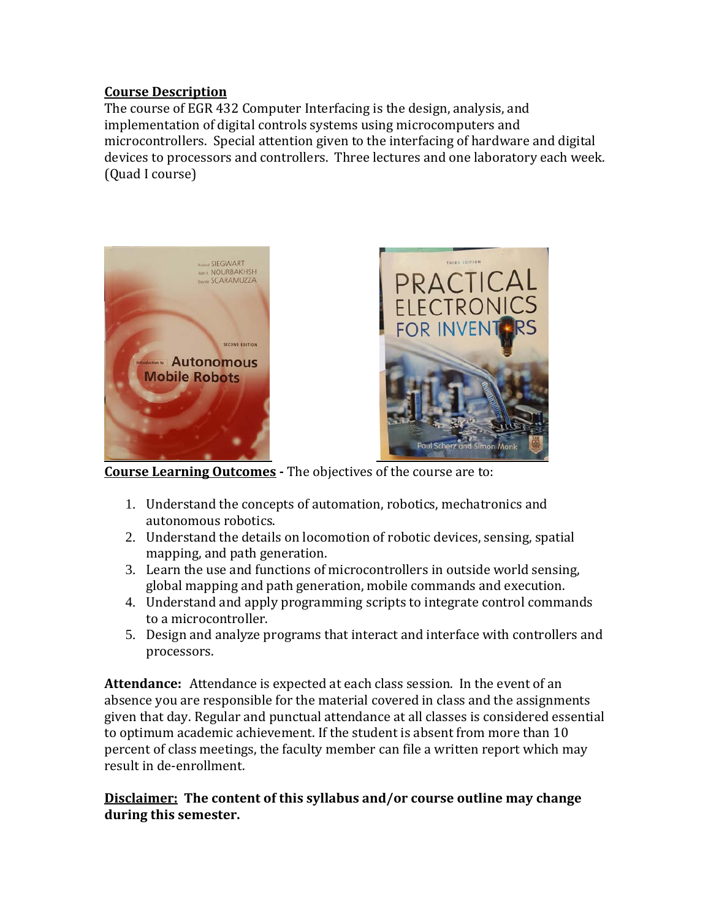### **Course Description**

The course of EGR 432 Computer Interfacing is the design, analysis, and implementation of digital controls systems using microcomputers and microcontrollers. Special attention given to the interfacing of hardware and digital devices to processors and controllers. Three lectures and one laboratory each week. (Quad I course)





**Course Learning Outcomes -** The objectives of the course are to:

- 1. Understand the concepts of automation, robotics, mechatronics and autonomous robotics.
- 2. Understand the details on locomotion of robotic devices, sensing, spatial mapping, and path generation.
- 3. Learn the use and functions of microcontrollers in outside world sensing, global mapping and path generation, mobile commands and execution.
- 4. Understand and apply programming scripts to integrate control commands to a microcontroller.
- 5. Design and analyze programs that interact and interface with controllers and processors.

**Attendance:** Attendance is expected at each class session. In the event of an absence you are responsible for the material covered in class and the assignments given that day. Regular and punctual attendance at all classes is considered essential to optimum academic achievement. If the student is absent from more than 10 percent of class meetings, the faculty member can file a written report which may result in de-enrollment.

### **Disclaimer: The content of this syllabus and/or course outline may change during this semester.**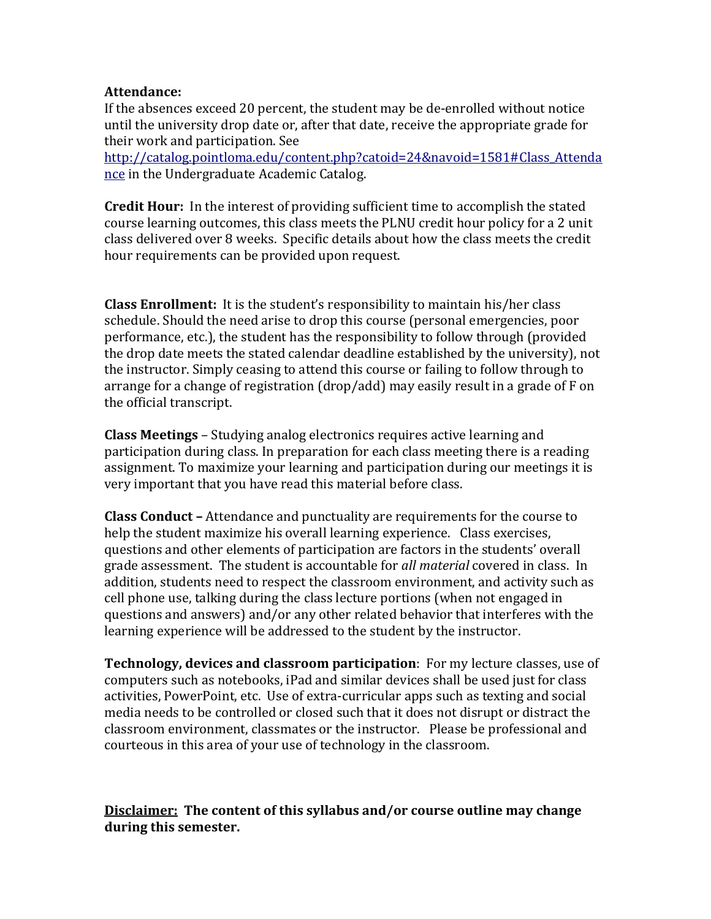#### **Attendance:**

If the absences exceed 20 percent, the student may be de-enrolled without notice until the university drop date or, after that date, receive the appropriate grade for their work and participation. See

[http://catalog.pointloma.edu/content.php?catoid=24&navoid=1581#Class\\_Attenda](http://catalog.pointloma.edu/content.php?catoid=24&navoid=1581#Class_Attendance) [nce](http://catalog.pointloma.edu/content.php?catoid=24&navoid=1581#Class_Attendance) in the Undergraduate Academic Catalog.

**Credit Hour:** In the interest of providing sufficient time to accomplish the stated course learning outcomes, this class meets the PLNU credit hour policy for a 2 unit class delivered over 8 weeks. Specific details about how the class meets the credit hour requirements can be provided upon request.

**Class Enrollment:** It is the student's responsibility to maintain his/her class schedule. Should the need arise to drop this course (personal emergencies, poor performance, etc.), the student has the responsibility to follow through (provided the drop date meets the stated calendar deadline established by the university), not the instructor. Simply ceasing to attend this course or failing to follow through to arrange for a change of registration (drop/add) may easily result in a grade of F on the official transcript.

**Class Meetings** – Studying analog electronics requires active learning and participation during class. In preparation for each class meeting there is a reading assignment. To maximize your learning and participation during our meetings it is very important that you have read this material before class.

**Class Conduct –** Attendance and punctuality are requirements for the course to help the student maximize his overall learning experience. Class exercises, questions and other elements of participation are factors in the students' overall grade assessment. The student is accountable for *all material* covered in class. In addition, students need to respect the classroom environment, and activity such as cell phone use, talking during the class lecture portions (when not engaged in questions and answers) and/or any other related behavior that interferes with the learning experience will be addressed to the student by the instructor.

**Technology, devices and classroom participation**: For my lecture classes, use of computers such as notebooks, iPad and similar devices shall be used just for class activities, PowerPoint, etc. Use of extra-curricular apps such as texting and social media needs to be controlled or closed such that it does not disrupt or distract the classroom environment, classmates or the instructor. Please be professional and courteous in this area of your use of technology in the classroom.

## **Disclaimer: The content of this syllabus and/or course outline may change during this semester.**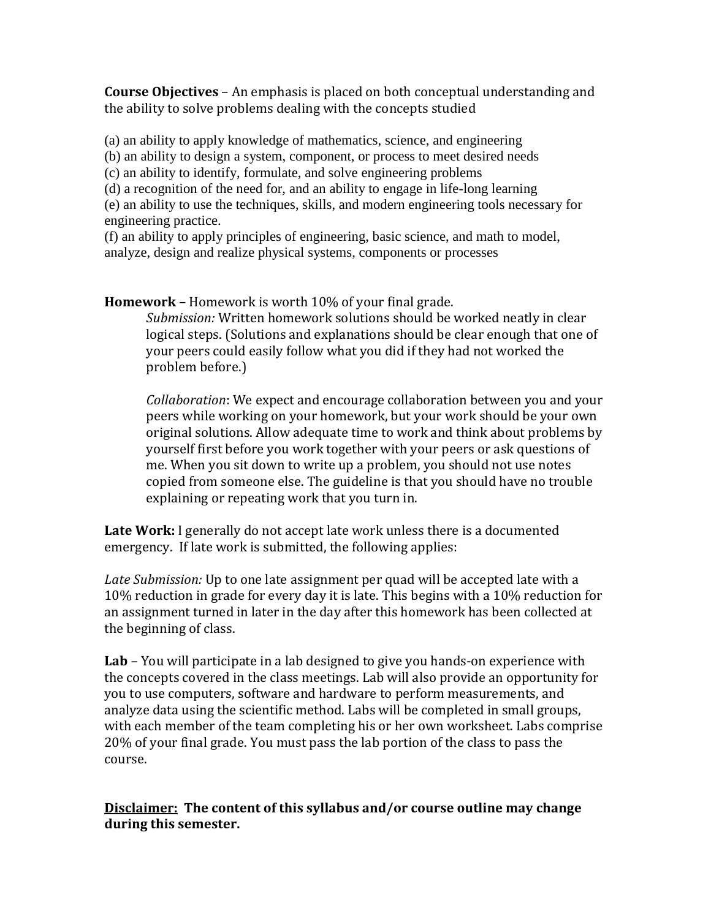**Course Objectives** – An emphasis is placed on both conceptual understanding and the ability to solve problems dealing with the concepts studied

(a) an ability to apply knowledge of mathematics, science, and engineering

(b) an ability to design a system, component, or process to meet desired needs

(c) an ability to identify, formulate, and solve engineering problems

(d) a recognition of the need for, and an ability to engage in life-long learning

(e) an ability to use the techniques, skills, and modern engineering tools necessary for engineering practice.

(f) an ability to apply principles of engineering, basic science, and math to model, analyze, design and realize physical systems, components or processes

**Homework –** Homework is worth 10% of your final grade.

*Submission:* Written homework solutions should be worked neatly in clear logical steps. (Solutions and explanations should be clear enough that one of your peers could easily follow what you did if they had not worked the problem before.)

*Collaboration*: We expect and encourage collaboration between you and your peers while working on your homework, but your work should be your own original solutions. Allow adequate time to work and think about problems by yourself first before you work together with your peers or ask questions of me. When you sit down to write up a problem, you should not use notes copied from someone else. The guideline is that you should have no trouble explaining or repeating work that you turn in.

**Late Work:** I generally do not accept late work unless there is a documented emergency. If late work is submitted, the following applies:

*Late Submission:* Up to one late assignment per quad will be accepted late with a 10% reduction in grade for every day it is late. This begins with a 10% reduction for an assignment turned in later in the day after this homework has been collected at the beginning of class.

**Lab** *–* You will participate in a lab designed to give you hands-on experience with the concepts covered in the class meetings. Lab will also provide an opportunity for you to use computers, software and hardware to perform measurements, and analyze data using the scientific method. Labs will be completed in small groups, with each member of the team completing his or her own worksheet. Labs comprise 20% of your final grade. You must pass the lab portion of the class to pass the course.

**Disclaimer: The content of this syllabus and/or course outline may change during this semester.**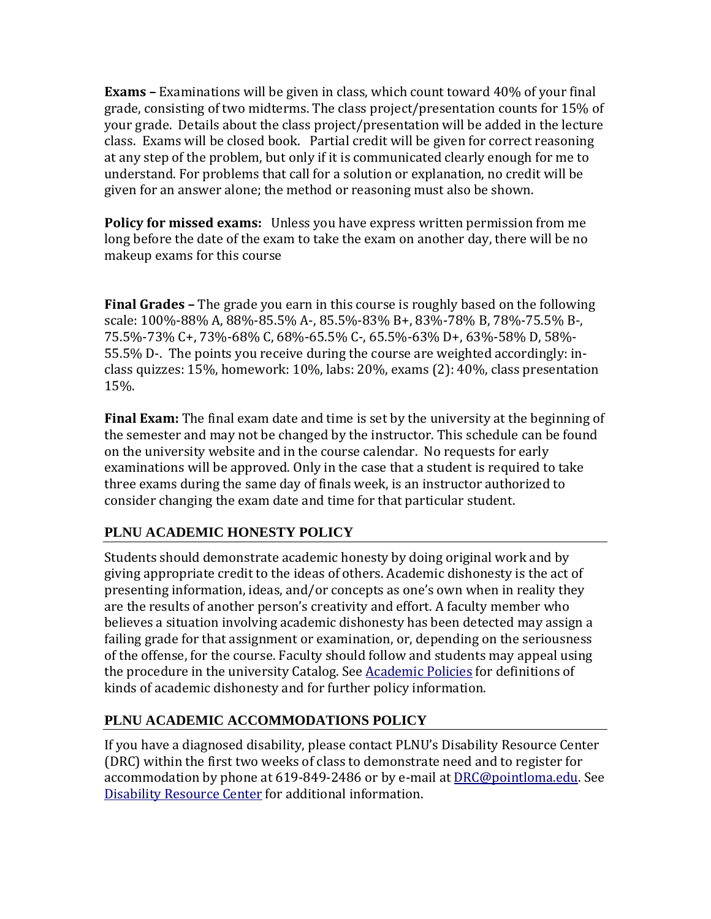**Exams –** Examinations will be given in class, which count toward 40% of your final grade, consisting of two midterms. The class project/presentation counts for 15% of your grade. Details about the class project/presentation will be added in the lecture class. Exams will be closed book. Partial credit will be given for correct reasoning at any step of the problem, but only if it is communicated clearly enough for me to understand. For problems that call for a solution or explanation, no credit will be given for an answer alone; the method or reasoning must also be shown.

**Policy for missed exams:** Unless you have express written permission from me long before the date of the exam to take the exam on another day, there will be no makeup exams for this course

**Final Grades –** The grade you earn in this course is roughly based on the following scale: 100%-88% A, 88%-85.5% A-, 85.5%-83% B+, 83%-78% B, 78%-75.5% B-, 75.5%-73% C+, 73%-68% C, 68%-65.5% C-, 65.5%-63% D+, 63%-58% D, 58%- 55.5% D-. The points you receive during the course are weighted accordingly: inclass quizzes: 15%, homework: 10%, labs: 20%, exams (2): 40%, class presentation 15%.

**Final Exam:** The final exam date and time is set by the university at the beginning of the semester and may not be changed by the instructor. This schedule can be found on the university website and in the course calendar. No requests for early examinations will be approved. Only in the case that a student is required to take three exams during the same day of finals week, is an instructor authorized to consider changing the exam date and time for that particular student.

# **PLNU ACADEMIC HONESTY POLICY**

Students should demonstrate academic honesty by doing original work and by giving appropriate credit to the ideas of others. Academic dishonesty is the act of presenting information, ideas, and/or concepts as one's own when in reality they are the results of another person's creativity and effort. A faculty member who believes a situation involving academic dishonesty has been detected may assign a failing grade for that assignment or examination, or, depending on the seriousness of the offense, for the course. Faculty should follow and students may appeal using the procedure in the university Catalog. See [Academic Policies](http://catalog.pointloma.edu/content.php?catoid=18&navoid=1278) for definitions of kinds of academic dishonesty and for further policy information.

# **PLNU ACADEMIC ACCOMMODATIONS POLICY**

If you have a diagnosed disability, please contact PLNU's Disability Resource Center (DRC) within the first two weeks of class to demonstrate need and to register for accommodation by phone at 619-849-2486 or by e-mail at [DRC@pointloma.edu.](mailto:DRC@pointloma.edu) See [Disability Resource Center](http://www.pointloma.edu/experience/offices/administrative-offices/academic-advising-office/disability-resource-center) for additional information.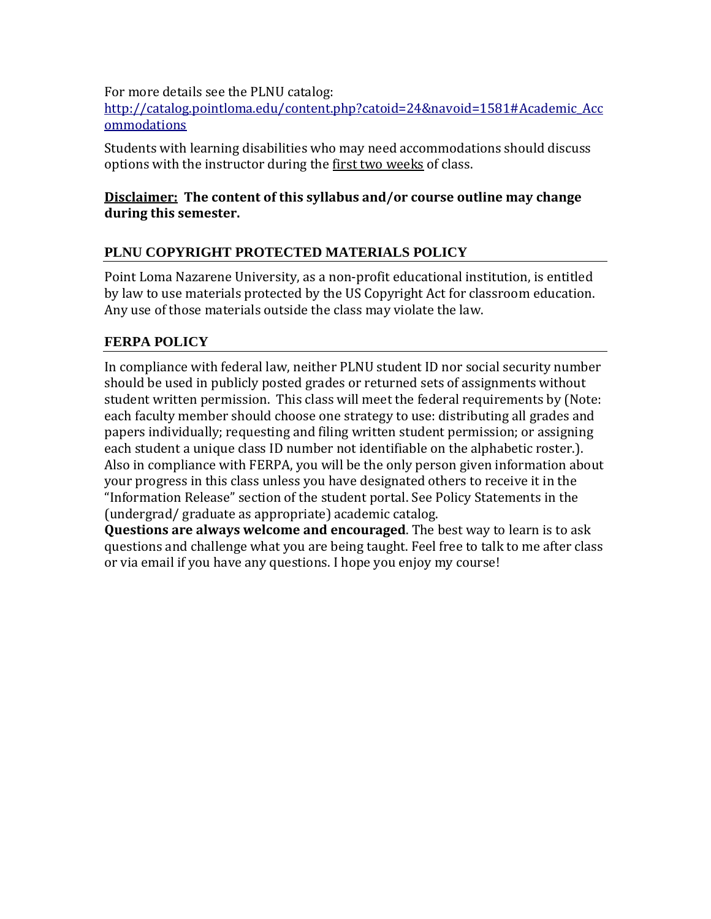For more details see the PLNU catalog:

[http://catalog.pointloma.edu/content.php?catoid=24&navoid=1581#Academic\\_Acc](http://catalog.pointloma.edu/content.php?catoid=24&navoid=1581#Academic_Accommodations) [ommodations](http://catalog.pointloma.edu/content.php?catoid=24&navoid=1581#Academic_Accommodations)

Students with learning disabilities who may need accommodations should discuss options with the instructor during the first two weeks of class.

### **Disclaimer: The content of this syllabus and/or course outline may change during this semester.**

# **PLNU COPYRIGHT PROTECTED MATERIALS POLICY**

Point Loma Nazarene University, as a non-profit educational institution, is entitled by law to use materials protected by the US Copyright Act for classroom education. Any use of those materials outside the class may violate the law.

# **FERPA POLICY**

In compliance with federal law, neither PLNU student ID nor social security number should be used in publicly posted grades or returned sets of assignments without student written permission. This class will meet the federal requirements by (Note: each faculty member should choose one strategy to use: distributing all grades and papers individually; requesting and filing written student permission; or assigning each student a unique class ID number not identifiable on the alphabetic roster.). Also in compliance with FERPA, you will be the only person given information about your progress in this class unless you have designated others to receive it in the "Information Release" section of the student portal. See Policy Statements in the (undergrad/ graduate as appropriate) academic catalog.

**Questions are always welcome and encouraged**. The best way to learn is to ask questions and challenge what you are being taught. Feel free to talk to me after class or via email if you have any questions. I hope you enjoy my course!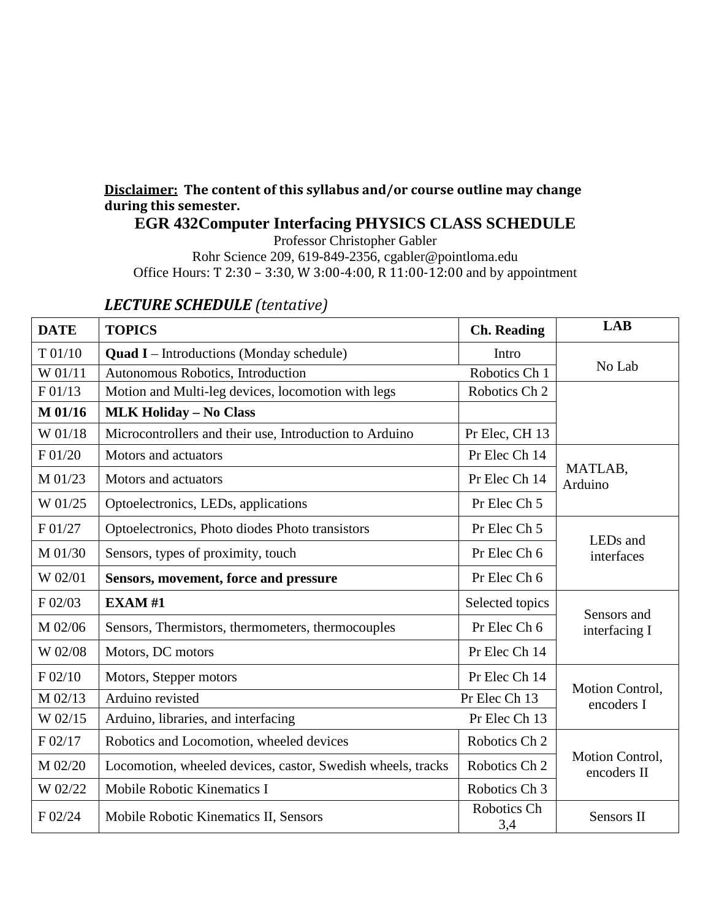# **Disclaimer: The content of this syllabus and/or course outline may change during this semester.**

**EGR 432Computer Interfacing PHYSICS CLASS SCHEDULE**

Professor Christopher Gabler Rohr Science 209, 619-849-2356, cgabler@pointloma.edu Office Hours: T 2:30 – 3:30, W 3:00-4:00, R 11:00-12:00 and by appointment

| <b>DATE</b> | <b>TOPICS</b>                                               | <b>Ch.</b> Reading | <b>LAB</b>                     |  |
|-------------|-------------------------------------------------------------|--------------------|--------------------------------|--|
| T 01/10     | <b>Quad I</b> – Introductions (Monday schedule)             | Intro              |                                |  |
| W 01/11     | Autonomous Robotics, Introduction                           | Robotics Ch 1      | No Lab                         |  |
| F 01/13     | Motion and Multi-leg devices, locomotion with legs          | Robotics Ch 2      |                                |  |
| M 01/16     | <b>MLK Holiday - No Class</b>                               |                    |                                |  |
| W 01/18     | Microcontrollers and their use, Introduction to Arduino     | Pr Elec, CH 13     |                                |  |
| F 01/20     | Motors and actuators                                        | Pr Elec Ch 14      |                                |  |
| M 01/23     | Motors and actuators                                        | Pr Elec Ch 14      | MATLAB,<br>Arduino             |  |
| W 01/25     | Optoelectronics, LEDs, applications                         | Pr Elec Ch 5       |                                |  |
| F 01/27     | Optoelectronics, Photo diodes Photo transistors             | Pr Elec Ch 5       | LEDs and                       |  |
| M 01/30     | Sensors, types of proximity, touch                          | Pr Elec Ch 6       | interfaces                     |  |
| W 02/01     | Sensors, movement, force and pressure                       | Pr Elec Ch 6       |                                |  |
| F 02/03     | <b>EXAM#1</b>                                               | Selected topics    | Sensors and                    |  |
| M 02/06     | Sensors, Thermistors, thermometers, thermocouples           | Pr Elec Ch 6       | interfacing I                  |  |
| W 02/08     | Motors, DC motors                                           | Pr Elec Ch 14      |                                |  |
| F 02/10     | Motors, Stepper motors                                      | Pr Elec Ch 14      |                                |  |
| M 02/13     | Arduino revisted<br>Pr Elec Ch 13                           |                    | Motion Control,<br>encoders I  |  |
| W 02/15     | Arduino, libraries, and interfacing                         | Pr Elec Ch 13      |                                |  |
| F 02/17     | Robotics and Locomotion, wheeled devices                    | Robotics Ch 2      |                                |  |
| M 02/20     | Locomotion, wheeled devices, castor, Swedish wheels, tracks | Robotics Ch 2      | Motion Control,<br>encoders II |  |
| W 02/22     | Mobile Robotic Kinematics I                                 | Robotics Ch 3      |                                |  |
| F 02/24     | Mobile Robotic Kinematics II, Sensors                       | Robotics Ch<br>3,4 | Sensors II                     |  |

# *LECTURE SCHEDULE (tentative)*